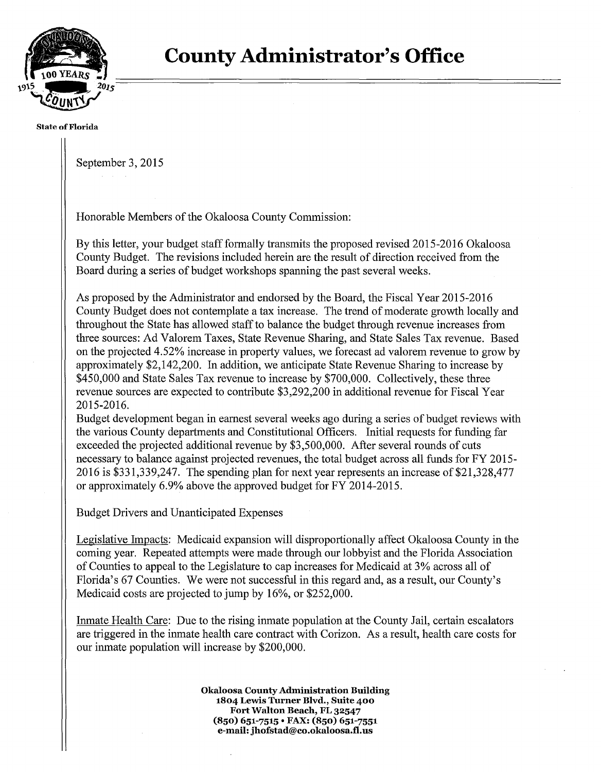

#### **State of Florida**

September 3, 2015

Honorable Members of the Okaloosa County Commission:

By this letter, your budget staff formally transmits the proposed revised 2015-2016 Okaloosa County Budget. The revisions included herein are the result of direction received from the Board during a series of budget workshops spanning the past several weeks.

As proposed by the Administrator and endorsed by the Board, the Fiscal Year 2015-2016 County Budget does not contemplate a tax increase. The trend of moderate growth locally and throughout the State has allowed staff to balance the budget through revenue increases from three sources: Ad Valorem Taxes, State Revenue Sharing, and State Sales Tax revenue. Based on the projected 4.52% increase in property values, we forecast ad valorem revenue to grow by approximately \$2,142,200. In addition, we anticipate State Revenue Sharing to increase by \$450,000 and State Sales Tax revenue to increase by \$700,000. Collectively, these three revenue sources are expected to contribute \$3,292,200 in additional revenue for Fiscal Year 2015-2016.

Budget development began in earnest several weeks ago during a series of budget reviews with the various County departments and Constitutional Officers. Initial requests for funding far exceeded the projected additional revenue by \$3,500,000. After several rounds of cuts necessary to balance against projected revenues, the total budget across all funds for FY 2015 2016 is \$331,339,247. The spending plan for next year represents an increase of \$21,328,477 or approximately 6.9% above the approved budget for FY 2014-2015.

Budget Drivers and Unanticipated Expenses

Legislative Impacts: Medicaid expansion will disproportionally affect Okaloosa County in the coming year. Repeated attempts were made through our lobbyist and the Florida Association of Counties to appeal to the Legislature to cap increases for Medicaid at 3% across all of Florida's 67 Counties. We were not successful in this regard and, as a result, our County's Medicaid costs are projected to jump by 16%, or \$252,000.

Inmate Health Care: Due to the rising inmate population at the County Jail, certain escalators are triggered in the inmate health care contract with Corizon. As a result, health care costs for our inmate population will increase by \$200,000.

> **Okaloosa CountyAdministration Building 1804 Lewis Turner Blvd., Suite 400 Fort Walton Beach, FL 32547 {850) 651-7515** • **FAX: {850) 651-7551 e-mail: jhofstad@co.okaloosa.tl.us**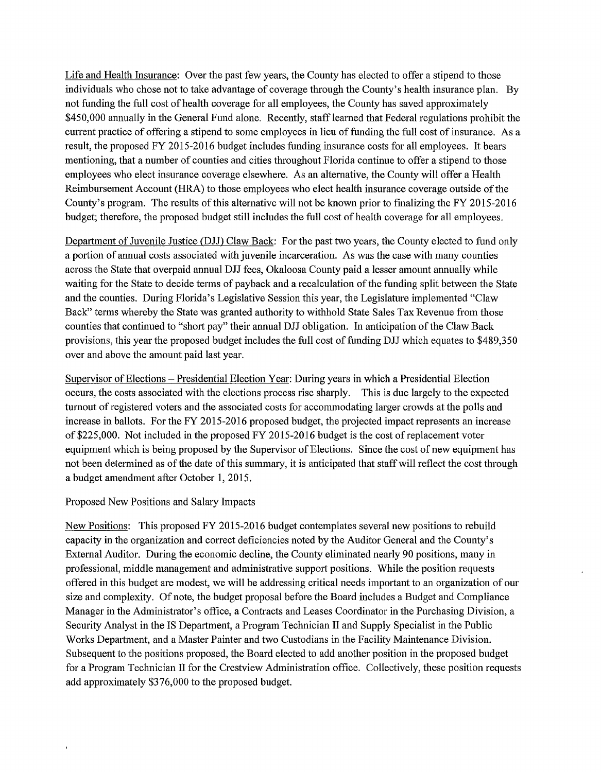Life and Health Insurance: Over the past few years, the County has elected to offer a stipend to those individuals who chose not to take advantage of coverage through the County's health insurance plan. By not funding the full cost of health coverage for all employees, the County has saved approximately \$450,000 annually in the General Fund alone. Recently, staff learned that Federal regulations prohibit the current practice of offering a stipend to some employees in lieu of funding the full cost of insurance. As a result, the proposed FY 2015-2016 budget includes funding insurance costs for all employees. It bears mentioning, that a number of counties and cities throughout Florida continue to offer a stipend to those employees who elect insurance coverage elsewhere. As an alternative, the County will offer a Health Reimbursement Account (HRA) to those employees who elect health insurance coverage outside ofthe County's program. The results of this alternative will not be known prior to finalizing the FY 2015-2016 budget; therefore, the proposed budget still includes the full cost of health coverage for all employees.

Department of Juvenile Justice *(DID* Claw Back: For the past two years, the County elected to fund only a portion of annual costs associated with juvenile incarceration. As was the case with many counties across the State that overpaid annual DJJ fees, Okaloosa County paid a lesser amount annually while waiting for the State to decide terms of payback and a recalculation of the funding split between the State and the counties. During Florida's Legislative Session this year, the Legislature implemented "Claw Back" terms whereby the State was granted authority to withhold State Sales Tax Revenue from those counties that continued to "short pay" their annual DJJ obligation. In anticipation of the Claw Back provisions, this year the proposed budget includes the full cost of funding DJJ which equates to \$489,350 over and above the amount paid last year.

Supervisor of Elections – Presidential Election Year: During years in which a Presidential Election occurs, the costs associated with the elections process rise sharply. This is due largely to the expected turnout of registered voters and the associated costs for accommodating larger crowds at the polls and increase in ballots. For the FY 2015-2016 proposed budget, the projected impact represents an increase of \$225,000. Not included in the proposed FY 2015-2016 budget is the cost ofreplacement voter equipment which is being proposed by the Supervisor of Elections. Since the cost of new equipment has not been determined as of the date of this summary, it is anticipated that staff will reflect the cost through a budget amendment after October 1, 2015.

# Proposed New Positions and Salary Impacts

New Positions: This proposed FY 2015-2016 budget contemplates several new positions to rebuild capacity in the organization and correct deficiencies noted by the Auditor General and the County's External Auditor. During the economic decline, the County eliminated nearly 90 positions, many in professional, middle management and administrative support positions. While the position requests offered in this budget are modest, we will be addressing critical needs important to an organization of our size and complexity. Of note, the budget proposal before the Board includes a Budget and Compliance Manager in the Administrator's office, a Contracts and Leases Coordinator in the Purchasing Division, a Security Analyst in the IS Department, a Program Technician II and Supply Specialist in the Public Works Department, and a Master Painter and two Custodians in the Facility Maintenance Division. Subsequent to the positions proposed, the Board elected to add another position in the proposed budget for a Program Technician II for the Crestview Administration office. Collectively, these position requests add approximately \$376,000 to the proposed budget.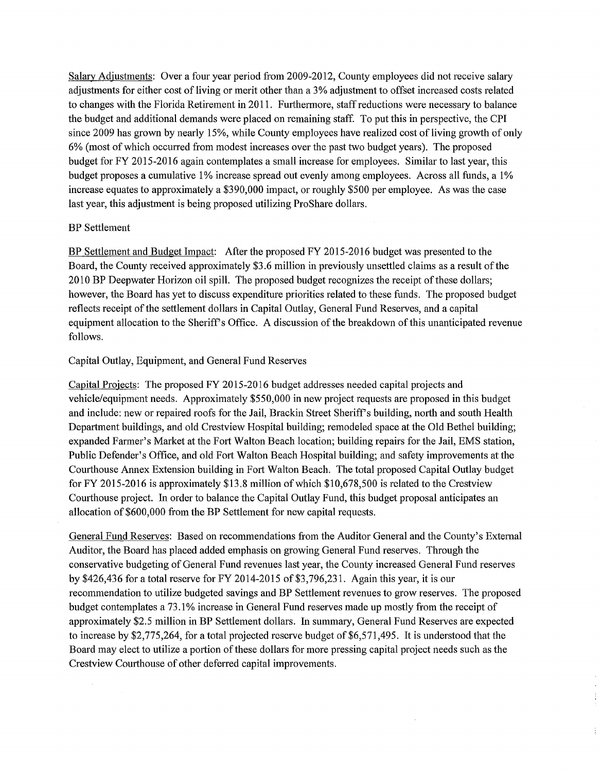Salary Adjustments: Over a four year period from 2009-2012, County employees did not receive salary adjustments for either cost of living or merit other than a 3% adjustment to offset increased costs related to changes with the Florida Retirement in 2011. Furthermore, staff reductions were necessary to balance the budget and additional demands were placed on remaining staff. To put this in perspective, the CPI since 2009 has grown by nearly 15%, while County employees have realized cost of living growth of only 6% (most of which occurred from modest increases over the past two budget years). The proposed budget for FY 2015-2016 again contemplates a small increase for employees. Similar to last year, this budget proposes a cumulative 1% increase spread out evenly among employees. Across all funds, a 1% increase equates to approximately a \$390,000 impact, or roughly \$500 per employee. As was the case last year, this adjustment is being proposed utilizing ProShare dollars.

# BP Settlement

BP Settlement and Budget Impact: After the proposed FY 2015-2016 budget was presented to the Board, the County received approximately \$3.6 million in previously unsettled claims as a result of the 2010 BP Deepwater Horizon oil spill. The proposed budget recognizes the receipt of these dollars; however, the Board has yet to discuss expenditure priorities related to these funds. The proposed budget reflects receipt of the settlement dollars in Capital Outlay, General Fund Reserves, and a capital equipment allocation to the Sheriff's Office. A discussion of the breakdown of this unanticipated revenue follows.

### Capital Outlay, Equipment, and General Fund Reserves

Capital Projects: The proposed FY 2015-2016 budget addresses needed capital projects and vehicle/equipment needs. Approximately \$550,000 in new project requests are proposed in this budget and include: new or repaired roofs for the Jail, Brackin Street Sheriff's building, north and south Health Department buildings, and old Crestview Hospital building; remodeled space at the Old Bethel building; expanded Farmer's Market at the Fort Walton Beach location; building repairs for the Jail, EMS station, Public Defender's Office, and old Fort Walton Beach Hospital building; and safety improvements at the Courthouse Annex Extension building in Fort Walton Beach. The total proposed Capital Outlay budget for FY 2015-2016 is approximately \$13.8 million of which \$10,678,500 is related to the Crestview Courthouse project. In order to balance the Capital Outlay Fund, this budget proposal anticipates an allocation of \$600,000 from the BP Settlement for new capital requests.

General Fund Reserves: Based on recommendations from the Auditor General and the County's External Auditor, the Board has placed added emphasis on growing General Fund reserves. Through the conservative budgeting of General Fund revenues last year, the County increased General Fund reserves by \$426,436 for a total reserve for FY 2014-2015 of \$3,796,231. Again this year, it is our recommendation to utilize budgeted savings and BP Settlement revenues to grow reserves. The proposed budget contemplates a 73 .1% increase in General Fund reserves made up mostly from the receipt of approximately \$2.5 million in BP Settlement dollars. In summary, General Fund Reserves are expected to increase by \$2,775,264, for a total projected reserve budget of \$6,571,495. It is understood that the Board may elect to utilize a portion of these dollars for more pressing capital project needs such as the Crestview Courthouse of other deferred capital improvements.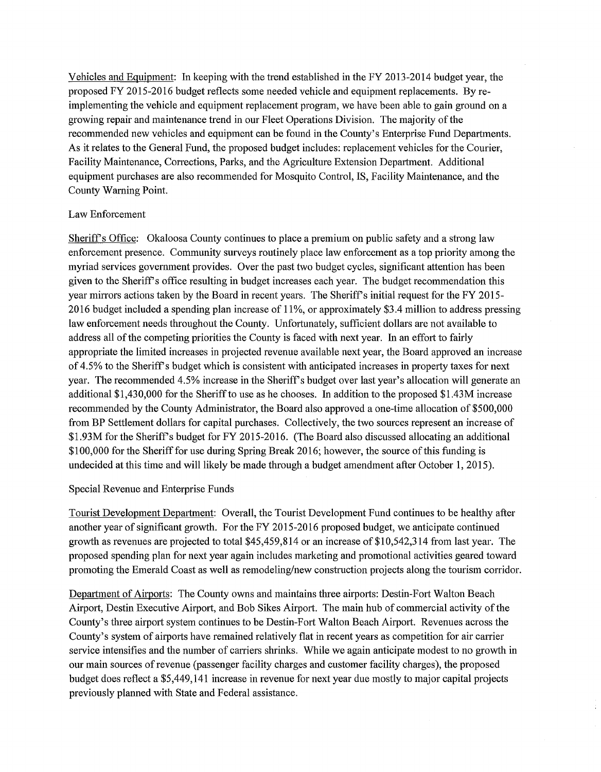Vehicles and Equipment: In keeping with the trend established in the FY 2013-2014 budget year, the proposed FY 2015-2016 budget reflects some needed vehicle and equipment replacements. By reimplementing the vehicle and equipment replacement program, we have been able to gain ground on a growing repair and maintenance trend in our Fleet Operations Division. The majority ofthe recommended new vehicles and equipment can be found in the County's Enterprise Fund Departments. As it relates to the General Fund, the proposed budget includes: replacement vehicles for the Courier, Facility Maintenance, Corrections, Parks, and the Agriculture Extension Department. Additional equipment purchases are also recommended for Mosquito Control, IS, Facility Maintenance, and the County Warning Point.

# Law Enforcement

Sheriff's Office: Okaloosa County continues to place a premium on public safety and a strong law enforcement presence. Community surveys routinely place law enforcement as a top priority among the myriad services government provides. Over the past two budget cycles, significant attention has been given to the Sheriff's office resulting in budget increases each year. The budget recommendation this year mirrors actions taken by the Board in recent years. The Sheriff's initial request for the FY 2015 2016 budget included a spending plan increase of 11%, or approximately \$3 .4 million to address pressing law enforcement needs throughout the County. Unfortunately, sufficient dollars are not available to address all of the competing priorities the County is faced with next year. In an effort to fairly appropriate the limited increases in projected revenue available next year, the Board approved an increase of 4.5% to the Sheriff's budget which is consistent with anticipated increases in property taxes for next year. The recommended 4.5% increase in the Sheriff's budget over last year's allocation will generate an additional \$1,430,000 for the Sheriff to use as he chooses. In addition to the proposed \$1.43M increase recommended by the County Administrator, the Board also approved a one-time allocation of \$500,000 from BP Settlement dollars for capital purchases. Collectively, the two sources represent an increase of \$1.93M for the Sheriff's budget for FY 2015-2016. (The Board also discussed allocating an additional \$100,000 for the Sheriff for use during Spring Break 2016; however, the source ofthis funding is undecided at this time and will likely be made through a budget amendment after October 1, 2015).

# Special Revenue and Enterprise Funds

Tourist Development Department: Overall, the Tourist Development Fund continues to be healthy after another year of significant growth. For the FY 2015-2016 proposed budget, we anticipate continued growth as revenues are projected to total \$45,459,814 or an increase of \$10,542,314 from last year. The proposed spending plan for next year again includes marketing and promotional activities geared toward promoting the Emerald Coast as well as remodeling/new construction projects along the tourism corridor.

Department of Airports: The County owns and maintains three airports: Destin-Fort Walton Beach Airport, Destin Executive Airport, and Bob Sikes Airport. The main hub of commercial activity of the County's three airport system continues to be Destin-Fort Walton Beach Airport. Revenues across the County's system of airports have remained relatively flat in recent years as competition for air carrier service intensifies and the number of carriers shrinks. While we again anticipate modest to no growth in our main sources ofrevenue (passenger facility charges and customer facility charges), the proposed budget does reflect a \$5,449,141 increase in revenue for next year due mostly to major capital projects previously planned with State and Federal assistance.